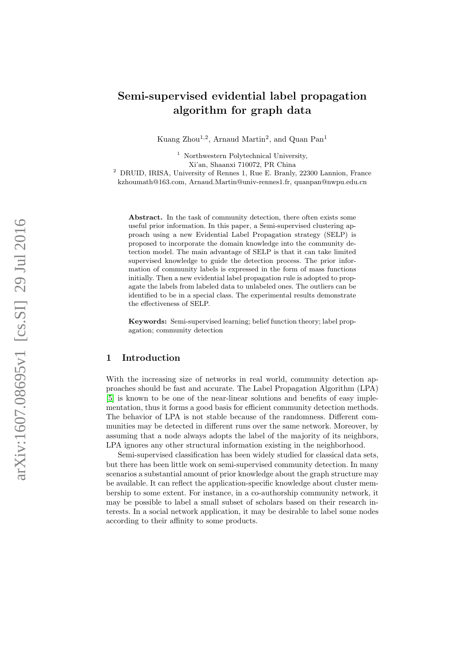# Semi-supervised evidential label propagation algorithm for graph data

Kuang Zhou<sup>1,2</sup>, Arnaud Martin<sup>2</sup>, and Quan Pan<sup>1</sup>

<sup>1</sup> Northwestern Polytechnical University, Xi'an, Shaanxi 710072, PR China

<sup>2</sup> DRUID, IRISA, University of Rennes 1, Rue E. Branly, 22300 Lannion, France kzhoumath@163.com, Arnaud.Martin@univ-rennes1.fr, quanpan@nwpu.edu.cn

Abstract. In the task of community detection, there often exists some useful prior information. In this paper, a Semi-supervised clustering approach using a new Evidential Label Propagation strategy (SELP) is proposed to incorporate the domain knowledge into the community detection model. The main advantage of SELP is that it can take limited supervised knowledge to guide the detection process. The prior information of community labels is expressed in the form of mass functions initially. Then a new evidential label propagation rule is adopted to propagate the labels from labeled data to unlabeled ones. The outliers can be identified to be in a special class. The experimental results demonstrate the effectiveness of SELP.

Keywords: Semi-supervised learning; belief function theory; label propagation; community detection

## 1 Introduction

With the increasing size of networks in real world, community detection approaches should be fast and accurate. The Label Propagation Algorithm (LPA) [\[5\]](#page-9-0) is known to be one of the near-linear solutions and benefits of easy implementation, thus it forms a good basis for efficient community detection methods. The behavior of LPA is not stable because of the randomness. Different communities may be detected in different runs over the same network. Moreover, by assuming that a node always adopts the label of the majority of its neighbors, LPA ignores any other structural information existing in the neighborhood.

Semi-supervised classification has been widely studied for classical data sets, but there has been little work on semi-supervised community detection. In many scenarios a substantial amount of prior knowledge about the graph structure may be available. It can reflect the application-specific knowledge about cluster membership to some extent. For instance, in a co-authorship community network, it may be possible to label a small subset of scholars based on their research interests. In a social network application, it may be desirable to label some nodes according to their affinity to some products.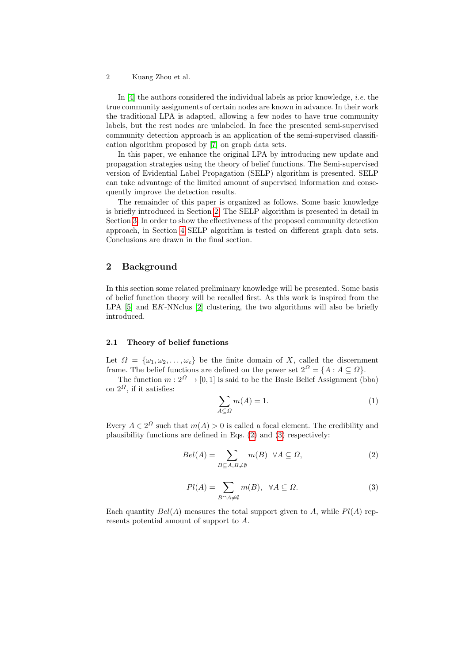In [\[4\]](#page-9-1) the authors considered the individual labels as prior knowledge, i.e. the true community assignments of certain nodes are known in advance. In their work the traditional LPA is adapted, allowing a few nodes to have true community labels, but the rest nodes are unlabeled. In face the presented semi-supervised community detection approach is an application of the semi-supervised classification algorithm proposed by [\[7\]](#page-9-2) on graph data sets.

In this paper, we enhance the original LPA by introducing new update and propagation strategies using the theory of belief functions. The Semi-supervised version of Evidential Label Propagation (SELP) algorithm is presented. SELP can take advantage of the limited amount of supervised information and consequently improve the detection results.

The remainder of this paper is organized as follows. Some basic knowledge is briefly introduced in Section [2.](#page-1-0) The SELP algorithm is presented in detail in Section [3.](#page-2-0) In order to show the effectiveness of the proposed community detection approach, in Section [4](#page-5-0) SELP algorithm is tested on different graph data sets. Conclusions are drawn in the final section.

## <span id="page-1-0"></span>2 Background

In this section some related preliminary knowledge will be presented. Some basis of belief function theory will be recalled first. As this work is inspired from the LPA  $[5]$  and EK-NNclus  $[2]$  clustering, the two algorithms will also be briefly introduced.

#### 2.1 Theory of belief functions

Let  $\Omega = {\omega_1, \omega_2, \ldots, \omega_c}$  be the finite domain of X, called the discernment frame. The belief functions are defined on the power set  $2^{\Omega} = \{A : A \subseteq \Omega\}.$ 

The function  $m: 2^{\Omega} \to [0, 1]$  is said to be the Basic Belief Assignment (bba) on  $2^{\Omega}$ , if it satisfies:

$$
\sum_{A \subseteq \Omega} m(A) = 1. \tag{1}
$$

Every  $A \in 2^{\Omega}$  such that  $m(A) > 0$  is called a focal element. The credibility and plausibility functions are defined in Eqs. [\(2\)](#page-1-1) and [\(3\)](#page-1-2) respectively:

<span id="page-1-1"></span>
$$
Bel(A) = \sum_{B \subseteq A, B \neq \emptyset} m(B) \quad \forall A \subseteq \Omega,
$$
 (2)

<span id="page-1-2"></span>
$$
Pl(A) = \sum_{B \cap A \neq \emptyset} m(B), \quad \forall A \subseteq \Omega.
$$
 (3)

Each quantity  $Bel(A)$  measures the total support given to A, while  $Pl(A)$  represents potential amount of support to A.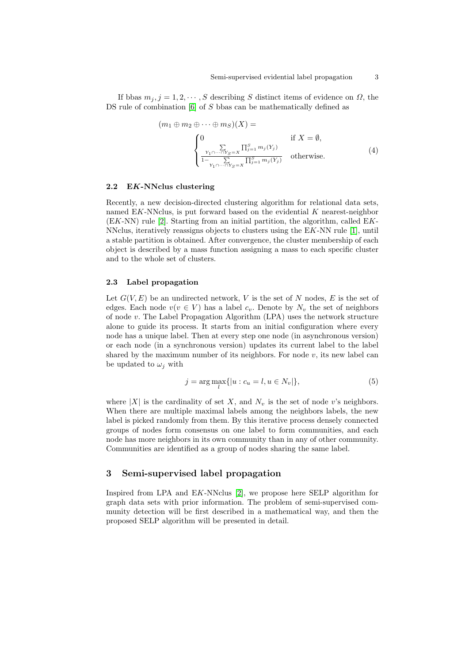If bbas  $m_j, j = 1, 2, \dots, S$  describing S distinct items of evidence on  $\Omega$ , the DS rule of combination [\[6\]](#page-9-4) of S bbas can be mathematically defined as

$$
(m_1 \oplus m_2 \oplus \cdots \oplus m_S)(X) =
$$
  
\n
$$
\begin{cases}\n0 & \text{if } X = \emptyset, \\
\frac{Y_1 \cap \cdots \cap Y_S = X}{1 - Y_1 \cap \cdots \cap Y_S = X} \prod_{j=1}^S m_j(Y_j) & \text{otherwise.} \n\end{cases}
$$
\n(4)

#### 2.2 EK-NNclus clustering

Recently, a new decision-directed clustering algorithm for relational data sets, named  $EK\text{-}NNclus$ , is put forward based on the evidential K nearest-neighbor (EK-NN) rule [\[2\]](#page-9-3). Starting from an initial partition, the algorithm, called EK-NNclus, iteratively reassigns objects to clusters using the EK-NN rule [\[1\]](#page-9-5), until a stable partition is obtained. After convergence, the cluster membership of each object is described by a mass function assigning a mass to each specific cluster and to the whole set of clusters.

## 2.3 Label propagation

Let  $G(V, E)$  be an undirected network, V is the set of N nodes, E is the set of edges. Each node  $v(v \in V)$  has a label  $c_v$ . Denote by  $N_v$  the set of neighbors of node v. The Label Propagation Algorithm (LPA) uses the network structure alone to guide its process. It starts from an initial configuration where every node has a unique label. Then at every step one node (in asynchronous version) or each node (in a synchronous version) updates its current label to the label shared by the maximum number of its neighbors. For node  $v$ , its new label can be updated to  $\omega_i$  with

$$
j = \arg \max_{l} \{ |u : c_u = l, u \in N_v| \},
$$
\n(5)

where |X| is the cardinality of set X, and  $N_v$  is the set of node v's neighbors. When there are multiple maximal labels among the neighbors labels, the new label is picked randomly from them. By this iterative process densely connected groups of nodes form consensus on one label to form communities, and each node has more neighbors in its own community than in any of other community. Communities are identified as a group of nodes sharing the same label.

## <span id="page-2-0"></span>3 Semi-supervised label propagation

Inspired from LPA and EK-NNclus [\[2\]](#page-9-3), we propose here SELP algorithm for graph data sets with prior information. The problem of semi-supervised community detection will be first described in a mathematical way, and then the proposed SELP algorithm will be presented in detail.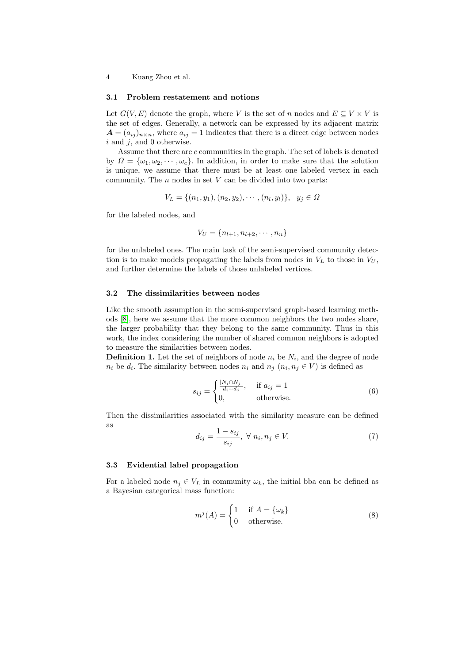#### 3.1 Problem restatement and notions

Let  $G(V, E)$  denote the graph, where V is the set of n nodes and  $E \subseteq V \times V$  is the set of edges. Generally, a network can be expressed by its adjacent matrix  $A = (a_{ij})_{n \times n}$ , where  $a_{ij} = 1$  indicates that there is a direct edge between nodes  $i$  and  $j$ , and 0 otherwise.

Assume that there are c communities in the graph. The set of labels is denoted by  $\Omega = {\omega_1, \omega_2, \cdots, \omega_c}$ . In addition, in order to make sure that the solution is unique, we assume that there must be at least one labeled vertex in each community. The  $n$  nodes in set  $V$  can be divided into two parts:

$$
V_L = \{(n_1, y_1), (n_2, y_2), \cdots, (n_l, y_l)\}, \ y_j \in \Omega
$$

for the labeled nodes, and

$$
V_U = \{n_{l+1}, n_{l+2}, \cdots, n_n\}
$$

for the unlabeled ones. The main task of the semi-supervised community detection is to make models propagating the labels from nodes in  $V_L$  to those in  $V_U$ , and further determine the labels of those unlabeled vertices.

#### 3.2 The dissimilarities between nodes

Like the smooth assumption in the semi-supervised graph-based learning methods [\[8\]](#page-9-6), here we assume that the more common neighbors the two nodes share, the larger probability that they belong to the same community. Thus in this work, the index considering the number of shared common neighbors is adopted to measure the similarities between nodes.

**Definition 1.** Let the set of neighbors of node  $n_i$  be  $N_i$ , and the degree of node  $n_i$  be  $d_i$ . The similarity between nodes  $n_i$  and  $n_j$   $(n_i, n_j \in V)$  is defined as

$$
s_{ij} = \begin{cases} \frac{|N_i \cap N_j|}{d_i + d_j}, & \text{if } a_{ij} = 1\\ 0, & \text{otherwise.} \end{cases}
$$
 (6)

Then the dissimilarities associated with the similarity measure can be defined as

$$
d_{ij} = \frac{1 - s_{ij}}{s_{ij}}, \ \forall \ n_i, n_j \in V. \tag{7}
$$

#### 3.3 Evidential label propagation

For a labeled node  $n_j \in V_L$  in community  $\omega_k$ , the initial bba can be defined as a Bayesian categorical mass function:

$$
m^{j}(A) = \begin{cases} 1 & \text{if } A = \{\omega_{k}\} \\ 0 & \text{otherwise.} \end{cases}
$$
 (8)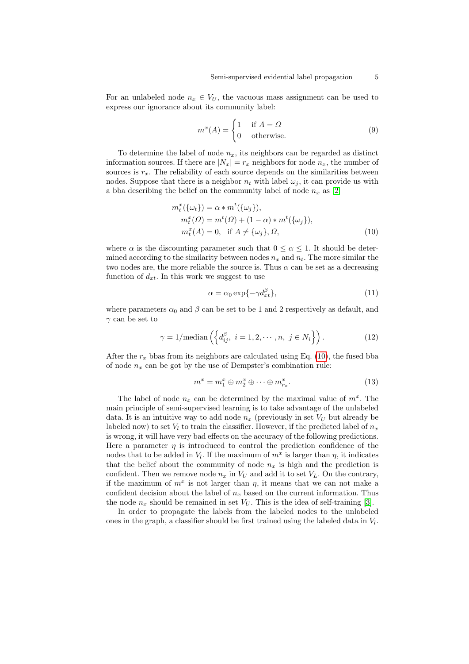For an unlabeled node  $n_x \in V_U$ , the vacuous mass assignment can be used to express our ignorance about its community label:

$$
m^{x}(A) = \begin{cases} 1 & \text{if } A = \Omega \\ 0 & \text{otherwise.} \end{cases}
$$
 (9)

To determine the label of node  $n_x$ , its neighbors can be regarded as distinct information sources. If there are  $|N_x| = r_x$  neighbors for node  $n_x$ , the number of sources is  $r<sub>x</sub>$ . The reliability of each source depends on the similarities between nodes. Suppose that there is a neighbor  $n_t$  with label  $\omega_j$ , it can provide us with a bba describing the belief on the community label of node  $n_x$  as [\[2\]](#page-9-3)

$$
m_t^x(\{\omega_t\}) = \alpha * m^t(\{\omega_j\}),
$$
  
\n
$$
m_t^x(\Omega) = m^t(\Omega) + (1 - \alpha) * m^t(\{\omega_j\}),
$$
  
\n
$$
m_t^x(A) = 0, \text{ if } A \neq \{\omega_j\}, \Omega,
$$
  
\n(10)

where  $\alpha$  is the discounting parameter such that  $0 \leq \alpha \leq 1$ . It should be determined according to the similarity between nodes  $n_x$  and  $n_t$ . The more similar the two nodes are, the more reliable the source is. Thus  $\alpha$  can be set as a decreasing function of  $d_{xt}$ . In this work we suggest to use

<span id="page-4-0"></span>
$$
\alpha = \alpha_0 \exp\{-\gamma d_{xt}^{\beta}\},\tag{11}
$$

where parameters  $\alpha_0$  and  $\beta$  can be set to be 1 and 2 respectively as default, and  $\gamma$  can be set to

$$
\gamma = 1/\text{median}\left(\left\{d_{ij}^{\beta}, i = 1, 2, \cdots, n, j \in N_i\right\}\right).
$$
 (12)

After the  $r_x$  bbas from its neighbors are calculated using Eq. [\(10\)](#page-4-0), the fused bba of node  $n_x$  can be got by the use of Dempster's combination rule:

<span id="page-4-1"></span>
$$
m^x = m_1^x \oplus m_2^x \oplus \dots \oplus m_{r_x}^x.
$$
\n(13)

The label of node  $n_x$  can be determined by the maximal value of  $m^x$ . The main principle of semi-supervised learning is to take advantage of the unlabeled data. It is an intuitive way to add node  $n_x$  (previously in set  $V_U$  but already be labeled now) to set  $V_l$  to train the classifier. However, if the predicted label of  $n_x$ is wrong, it will have very bad effects on the accuracy of the following predictions. Here a parameter  $\eta$  is introduced to control the prediction confidence of the nodes that to be added in  $V_l$ . If the maximum of  $m^x$  is larger than  $\eta$ , it indicates that the belief about the community of node  $n_x$  is high and the prediction is confident. Then we remove node  $n_x$  in  $V_U$  and add it to set  $V_L$ . On the contrary, if the maximum of  $m^x$  is not larger than  $\eta$ , it means that we can not make a confident decision about the label of  $n_x$  based on the current information. Thus the node  $n_x$  should be remained in set  $V_U$ . This is the idea of self-training [\[3\]](#page-9-7).

In order to propagate the labels from the labeled nodes to the unlabeled ones in the graph, a classifier should be first trained using the labeled data in  $V_l$ .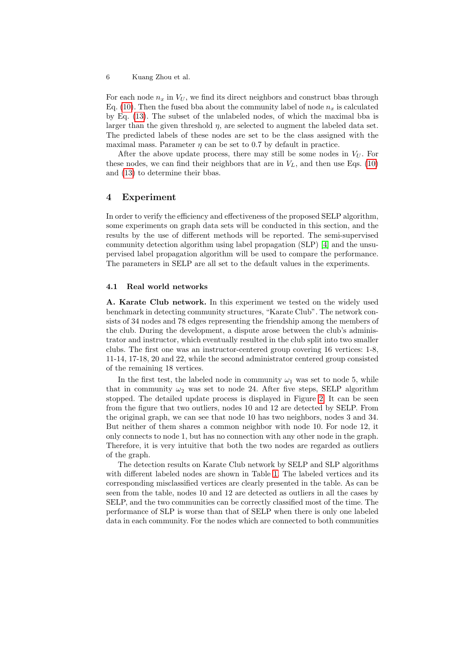For each node  $n_x$  in  $V_U$ , we find its direct neighbors and construct bbas through Eq. [\(10\)](#page-4-0). Then the fused bba about the community label of node  $n_x$  is calculated by Eq. [\(13\)](#page-4-1). The subset of the unlabeled nodes, of which the maximal bba is larger than the given threshold  $\eta$ , are selected to augment the labeled data set. The predicted labels of these nodes are set to be the class assigned with the maximal mass. Parameter  $\eta$  can be set to 0.7 by default in practice.

After the above update process, there may still be some nodes in  $V_U$ . For these nodes, we can find their neighbors that are in  $V_L$ , and then use Eqs. [\(10\)](#page-4-0) and [\(13\)](#page-4-1) to determine their bbas.

## <span id="page-5-0"></span>4 Experiment

In order to verify the efficiency and effectiveness of the proposed SELP algorithm, some experiments on graph data sets will be conducted in this section, and the results by the use of different methods will be reported. The semi-supervised community detection algorithm using label propagation (SLP) [\[4\]](#page-9-1) and the unsupervised label propagation algorithm will be used to compare the performance. The parameters in SELP are all set to the default values in the experiments.

#### 4.1 Real world networks

A. Karate Club network. In this experiment we tested on the widely used benchmark in detecting community structures, "Karate Club". The network consists of 34 nodes and 78 edges representing the friendship among the members of the club. During the development, a dispute arose between the club's administrator and instructor, which eventually resulted in the club split into two smaller clubs. The first one was an instructor-centered group covering 16 vertices: 1-8, 11-14, 17-18, 20 and 22, while the second administrator centered group consisted of the remaining 18 vertices.

In the first test, the labeled node in community  $\omega_1$  was set to node 5, while that in community  $\omega_2$  was set to node 24. After five steps, SELP algorithm stopped. The detailed update process is displayed in Figure [2.](#page-6-0) It can be seen from the figure that two outliers, nodes 10 and 12 are detected by SELP. From the original graph, we can see that node 10 has two neighbors, nodes 3 and 34. But neither of them shares a common neighbor with node 10. For node 12, it only connects to node 1, but has no connection with any other node in the graph. Therefore, it is very intuitive that both the two nodes are regarded as outliers of the graph.

The detection results on Karate Club network by SELP and SLP algorithms with different labeled nodes are shown in Table [1.](#page-7-0) The labeled vertices and its corresponding misclassified vertices are clearly presented in the table. As can be seen from the table, nodes 10 and 12 are detected as outliers in all the cases by SELP, and the two communities can be correctly classified most of the time. The performance of SLP is worse than that of SELP when there is only one labeled data in each community. For the nodes which are connected to both communities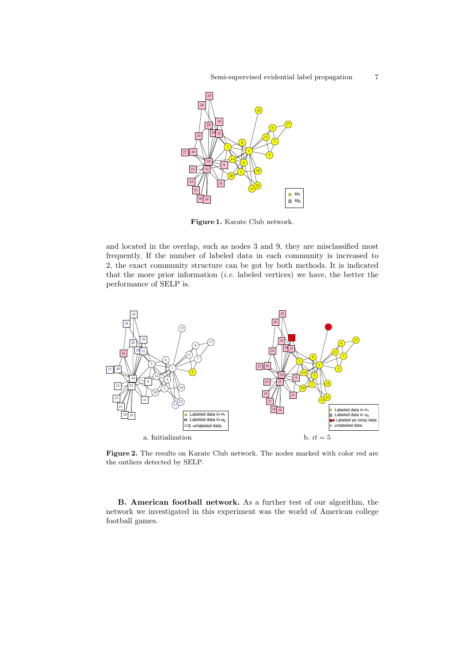

Figure 1. Karate Club network.

and located in the overlap, such as nodes 3 and 9, they are misclassified most frequently. If the number of labeled data in each community is increased to 2, the exact community structure can be got by both methods. It is indicated that the more prior information  $(i.e.$  labeled vertices) we have, the better the performance of SELP is.



<span id="page-6-0"></span>Figure 2. The results on Karate Club network. The nodes marked with color red are the outliers detected by SELP.

B. American football network. As a further test of our algorithm, the network we investigated in this experiment was the world of American college football games.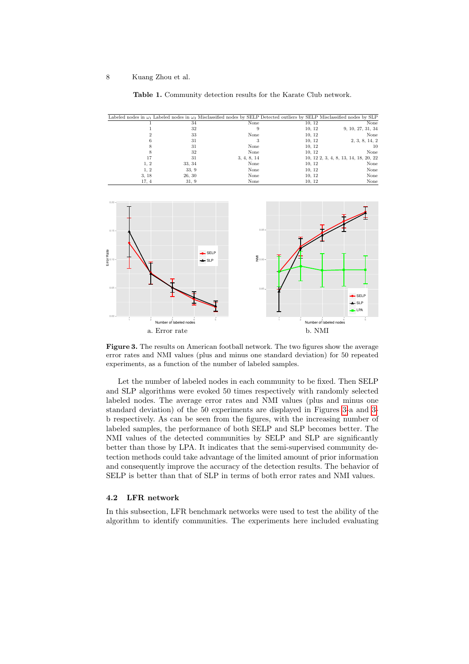

<span id="page-7-0"></span>Table 1. Community detection results for the Karate Club network.



<span id="page-7-1"></span>Figure 3. The results on American football network. The two figures show the average error rates and NMI values (plus and minus one standard deviation) for 50 repeated experiments, as a function of the number of labeled samples.

Let the number of labeled nodes in each community to be fixed. Then SELP and SLP algorithms were evoked 50 times respectively with randomly selected labeled nodes. The average error rates and NMI values (plus and minus one standard deviation) of the 50 experiments are displayed in Figures [3-](#page-7-1)a and [3](#page-7-1) b respectively. As can be seen from the figures, with the increasing number of labeled samples, the performance of both SELP and SLP becomes better. The NMI values of the detected communities by SELP and SLP are significantly better than those by LPA. It indicates that the semi-supervised community detection methods could take advantage of the limited amount of prior information and consequently improve the accuracy of the detection results. The behavior of SELP is better than that of SLP in terms of both error rates and NMI values.

#### 4.2 LFR network

In this subsection, LFR benchmark networks were used to test the ability of the algorithm to identify communities. The experiments here included evaluating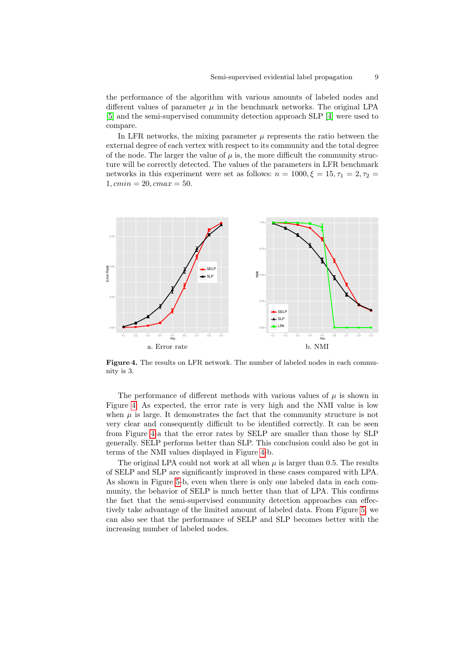the performance of the algorithm with various amounts of labeled nodes and different values of parameter  $\mu$  in the benchmark networks. The original LPA [\[5\]](#page-9-0) and the semi-supervised community detection approach SLP [\[4\]](#page-9-1) were used to compare.

In LFR networks, the mixing parameter  $\mu$  represents the ratio between the external degree of each vertex with respect to its community and the total degree of the node. The larger the value of  $\mu$  is, the more difficult the community structure will be correctly detected. The values of the parameters in LFR benchmark networks in this experiment were set as follows:  $n = 1000, \xi = 15, \tau_1 = 2, \tau_2 =$  $1, cmin = 20, cmax = 50.$ 



<span id="page-8-0"></span>Figure 4. The results on LFR network. The number of labeled nodes in each community is 3.

The performance of different methods with various values of  $\mu$  is shown in Figure [4.](#page-8-0) As expected, the error rate is very high and the NMI value is low when  $\mu$  is large. It demonstrates the fact that the community structure is not very clear and consequently difficult to be identified correctly. It can be seen from Figure [4-](#page-8-0)a that the error rates by SELP are smaller than those by SLP generally. SELP performs better than SLP. This conclusion could also be got in terms of the NMI values displayed in Figure [4-](#page-8-0)b.

The original LPA could not work at all when  $\mu$  is larger than 0.5. The results of SELP and SLP are significantly improved in these cases compared with LPA. As shown in Figure [5-](#page-9-8)b, even when there is only one labeled data in each community, the behavior of SELP is much better than that of LPA. This confirms the fact that the semi-supervised community detection approaches can effectively take advantage of the limited amount of labeled data. From Figure [5,](#page-9-8) we can also see that the performance of SELP and SLP becomes better with the increasing number of labeled nodes.